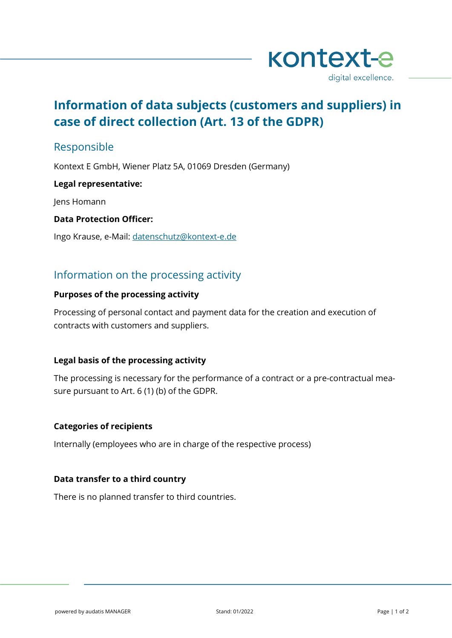

# **Information of data subjects (customers and suppliers) in case of direct collection (Art. 13 of the GDPR)**

# Responsible

Kontext E GmbH, Wiener Platz 5A, 01069 Dresden (Germany)

### **Legal representative:**

Jens Homann

**Data Protection Officer:**

Ingo Krause, e-Mail: [datenschutz@kontext-e.de](mailto:datenschutz@kontext-e.de)

# Information on the processing activity

## **Purposes of the processing activity**

Processing of personal contact and payment data for the creation and execution of contracts with customers and suppliers.

# **Legal basis of the processing activity**

The processing is necessary for the performance of a contract or a pre-contractual measure pursuant to Art. 6 (1) (b) of the GDPR.

### **Categories of recipients**

Internally (employees who are in charge of the respective process)

### **Data transfer to a third country**

There is no planned transfer to third countries.